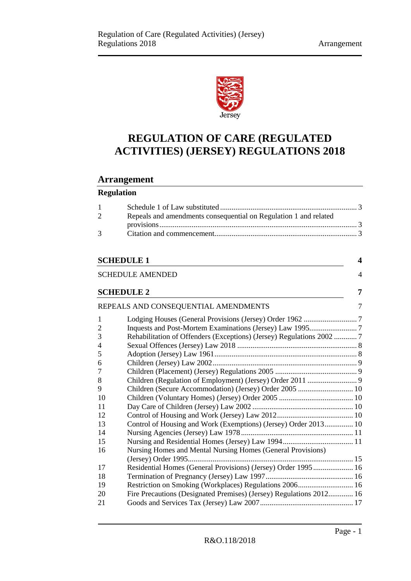

# **REGULATION OF CARE (REGULATED ACTIVITIES) (JERSEY) REGULATIONS 2018**

# **Arrangement**

# **Regulation**

| $1 \quad \Box$ |                                                                  |  |
|----------------|------------------------------------------------------------------|--|
| 2              | Repeals and amendments consequential on Regulation 1 and related |  |
|                |                                                                  |  |
| $\mathcal{R}$  |                                                                  |  |
|                |                                                                  |  |

# **[SCHEDULE 1](#page-3-0) 4**

|                   | <b>SCHEDULE AMENDED</b><br>4                                          |
|-------------------|-----------------------------------------------------------------------|
| <b>SCHEDULE 2</b> | 7                                                                     |
|                   | REPEALS AND CONSEQUENTIAL AMENDMENTS<br>7                             |
| 1                 |                                                                       |
| $\overline{2}$    |                                                                       |
| 3                 | Rehabilitation of Offenders (Exceptions) (Jersey) Regulations 2002  7 |
| 4                 |                                                                       |
| 5                 |                                                                       |
| 6                 |                                                                       |
| 7                 |                                                                       |
| 8                 |                                                                       |
| 9                 | Children (Secure Accommodation) (Jersey) Order 2005  10               |
| 10                |                                                                       |
| 11                |                                                                       |
| 12                |                                                                       |
| 13                | Control of Housing and Work (Exemptions) (Jersey) Order 2013 10       |
| 14                |                                                                       |
| 15                |                                                                       |
| 16                | Nursing Homes and Mental Nursing Homes (General Provisions)           |
|                   |                                                                       |
| 17                | Residential Homes (General Provisions) (Jersey) Order 1995 16         |
| 18                |                                                                       |
| 19                | Restriction on Smoking (Workplaces) Regulations 2006 16               |
| 20                | Fire Precautions (Designated Premises) (Jersey) Regulations 2012 16   |
| 21                |                                                                       |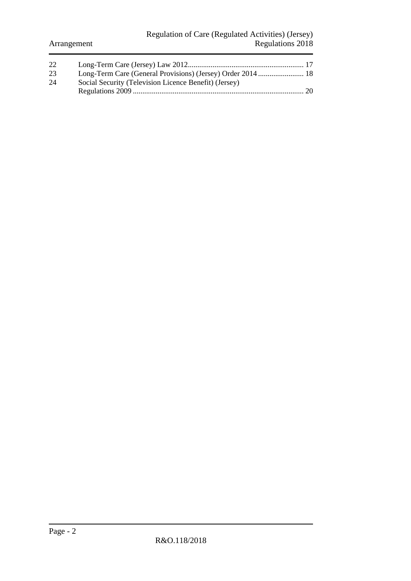| 22 |                                                       |  |
|----|-------------------------------------------------------|--|
| 23 |                                                       |  |
| 24 | Social Security (Television Licence Benefit) (Jersey) |  |
|    |                                                       |  |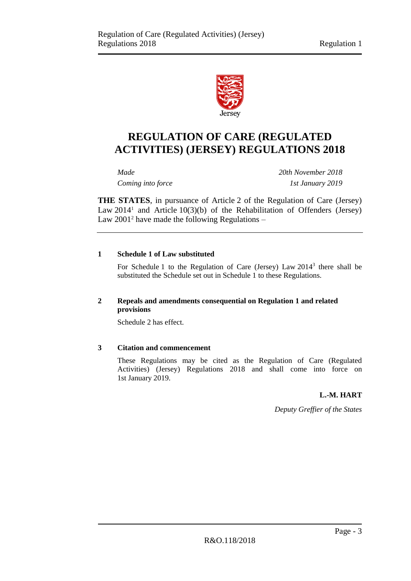

# **REGULATION OF CARE (REGULATED ACTIVITIES) (JERSEY) REGULATIONS 2018**

*Made 20th November 2018 Coming into force 1st January 2019*

**THE STATES**, in pursuance of Article 2 of the Regulation of Care (Jersey) Law  $2014<sup>1</sup>$  and Article  $10(3)(b)$  of the Rehabilitation of Offenders (Jersey) Law  $2001^2$  have made the following Regulations –

# <span id="page-2-0"></span>**1 Schedule 1 of Law substituted**

For Schedule 1 to the Regulation of Care (Jersey) Law 2014<sup>3</sup> there shall be substituted the Schedule set out in Schedule 1 to these Regulations.

# <span id="page-2-1"></span>**2 Repeals and amendments consequential on Regulation 1 and related provisions**

Schedule 2 has effect.

# <span id="page-2-2"></span>**3 Citation and commencement**

These Regulations may be cited as the Regulation of Care (Regulated Activities) (Jersey) Regulations 2018 and shall come into force on 1st January 2019.

# **L.-M. HART**

*Deputy Greffier of the States*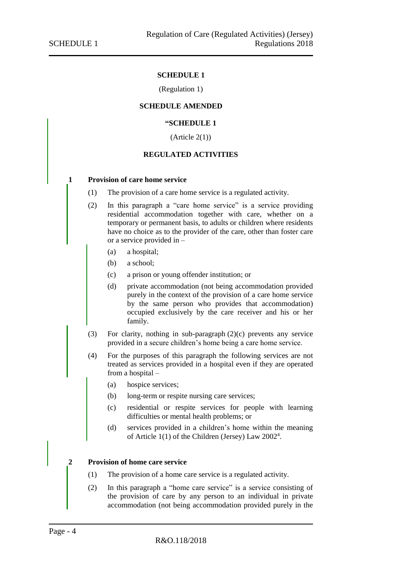# **SCHEDULE 1**

# (Regulation 1)

#### <span id="page-3-0"></span>**SCHEDULE AMENDED**

#### **"SCHEDULE 1**

 $(A$ rticle  $2(1)$ 

# **REGULATED ACTIVITIES**

#### <span id="page-3-1"></span>**1 Provision of care home service**

- (1) The provision of a care home service is a regulated activity.
- (2) In this paragraph a "care home service" is a service providing residential accommodation together with care, whether on a temporary or permanent basis, to adults or children where residents have no choice as to the provider of the care, other than foster care or a service provided in –
	- (a) a hospital;
	- (b) a school;
	- (c) a prison or young offender institution; or
	- (d) private accommodation (not being accommodation provided purely in the context of the provision of a care home service by the same person who provides that accommodation) occupied exclusively by the care receiver and his or her family.
- (3) For clarity, nothing in sub-paragraph (2)(c) prevents any service provided in a secure children's home being a care home service.
- (4) For the purposes of this paragraph the following services are not treated as services provided in a hospital even if they are operated from a hospital –
	- (a) hospice services;
	- (b) long-term or respite nursing care services;
	- (c) residential or respite services for people with learning difficulties or mental health problems; or
	- (d) services provided in a children's home within the meaning of Article 1(1) of the Children (Jersey) Law 2002<sup>4</sup>.

#### **2 Provision of home care service**

- (1) The provision of a home care service is a regulated activity.
- (2) In this paragraph a "home care service" is a service consisting of the provision of care by any person to an individual in private accommodation (not being accommodation provided purely in the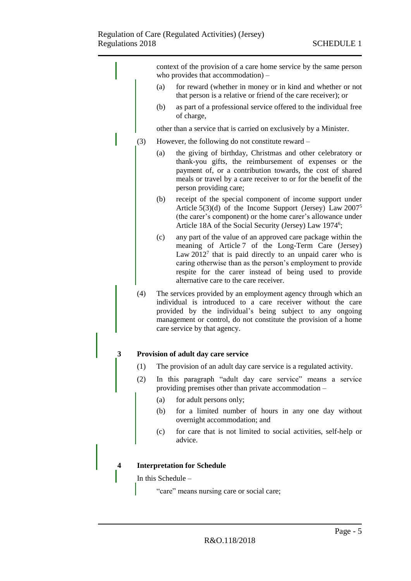|   |     | context of the provision of a care home service by the same person<br>who provides that accommodation) –                                                                                                                                                                                                                                                     |
|---|-----|--------------------------------------------------------------------------------------------------------------------------------------------------------------------------------------------------------------------------------------------------------------------------------------------------------------------------------------------------------------|
|   |     | for reward (whether in money or in kind and whether or not<br>(a)<br>that person is a relative or friend of the care receiver); or                                                                                                                                                                                                                           |
|   |     | as part of a professional service offered to the individual free<br>(b)<br>of charge,                                                                                                                                                                                                                                                                        |
|   |     | other than a service that is carried on exclusively by a Minister.                                                                                                                                                                                                                                                                                           |
|   | (3) | However, the following do not constitute reward –                                                                                                                                                                                                                                                                                                            |
|   |     | the giving of birthday, Christmas and other celebratory or<br>(a)<br>thank-you gifts, the reimbursement of expenses or the<br>payment of, or a contribution towards, the cost of shared<br>meals or travel by a care receiver to or for the benefit of the<br>person providing care;                                                                         |
|   |     | receipt of the special component of income support under<br>(b)<br>Article $5(3)(d)$ of the Income Support (Jersey) Law $2007^5$<br>(the carer's component) or the home carer's allowance under<br>Article 18A of the Social Security (Jersey) Law 1974 <sup>6</sup> ;                                                                                       |
|   |     | any part of the value of an approved care package within the<br>(c)<br>meaning of Article 7 of the Long-Term Care (Jersey)<br>Law $20127$ that is paid directly to an unpaid carer who is<br>caring otherwise than as the person's employment to provide<br>respite for the carer instead of being used to provide<br>alternative care to the care receiver. |
|   | (4) | The services provided by an employment agency through which an<br>individual is introduced to a care receiver without the care<br>provided by the individual's being subject to any ongoing<br>management or control, do not constitute the provision of a home<br>care service by that agency.                                                              |
| 3 |     | Provision of adult day care service                                                                                                                                                                                                                                                                                                                          |
|   |     | (1) The provision of an adult day care service is a regulated activity.                                                                                                                                                                                                                                                                                      |
|   | (2) | In this paragraph "adult day care service" means a service<br>providing premises other than private accommodation –                                                                                                                                                                                                                                          |
|   |     | for adult persons only;<br>(a)                                                                                                                                                                                                                                                                                                                               |
|   |     | for a limited number of hours in any one day without<br>(b)<br>overnight accommodation; and                                                                                                                                                                                                                                                                  |
|   |     | for care that is not limited to social activities, self-help or<br>(c)<br>advice.                                                                                                                                                                                                                                                                            |
|   |     |                                                                                                                                                                                                                                                                                                                                                              |
| 4 |     | <b>Interpretation for Schedule</b>                                                                                                                                                                                                                                                                                                                           |
|   |     | In this Schedule -                                                                                                                                                                                                                                                                                                                                           |
|   |     | "care" means nursing care or social care;                                                                                                                                                                                                                                                                                                                    |
|   |     |                                                                                                                                                                                                                                                                                                                                                              |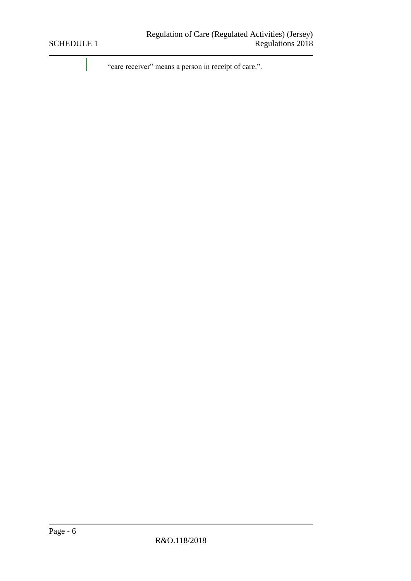"care receiver" means a person in receipt of care.".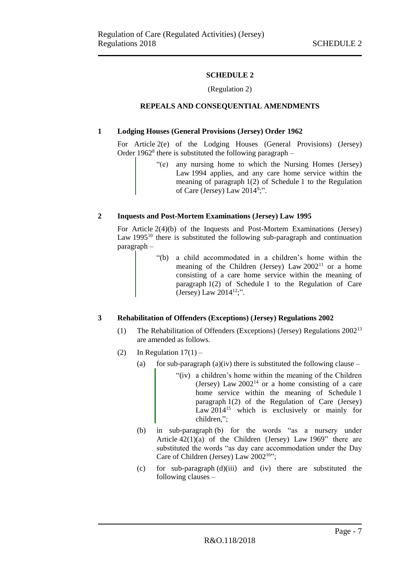# **SCHEDULE 2**

# (Regulation 2)

# <span id="page-6-0"></span>**REPEALS AND CONSEQUENTIAL AMENDMENTS**

# <span id="page-6-2"></span><span id="page-6-1"></span>**1 Lodging Houses (General Provisions (Jersey) Order 1962**

For Article 2(e) of the Lodging Houses (General Provisions) (Jersey) Order  $1962<sup>8</sup>$  there is substituted the following paragraph –

> "(e) any nursing home to which the Nursing Homes (Jersey) Law 1994 applies, and any care home service within the meaning of paragraph 1(2) of Schedule 1 to the Regulation of Care (Jersey) Law 2014<sup>9</sup>;".

# <span id="page-6-3"></span>**2 Inquests and Post-Mortem Examinations (Jersey) Law 1995**

For Article 2(4)(b) of the Inquests and Post-Mortem Examinations (Jersey) Law  $1995^{10}$  there is substituted the following sub-paragraph and continuation paragraph –

> "(b) a child accommodated in a children's home within the meaning of the Children (Jersey) Law 2002<sup>11</sup> or a home consisting of a care home service within the meaning of paragraph 1(2) of Schedule 1 to the Regulation of Care (Jersey) Law  $2014^{12}$ ;".

# <span id="page-6-4"></span>**3 Rehabilitation of Offenders (Exceptions) (Jersey) Regulations 2002**

- (1) The Rehabilitation of Offenders (Exceptions) (Jersey) Regulations 2002<sup>13</sup> are amended as follows.
- (2) In Regulation  $17(1)$ 
	- (a) for sub-paragraph (a)(iv) there is substituted the following clause
		- "(iv) a children's home within the meaning of the Children (Jersey) Law  $2002^{14}$  or a home consisting of a care home service within the meaning of Schedule 1 paragraph 1(2) of the Regulation of Care (Jersey) Law 2014<sup>15</sup> which is exclusively or mainly for children,";
	- (b) in sub-paragraph (b) for the words "as a nursery under Article  $42(1)(a)$  of the Children (Jersey) Law 1969" there are substituted the words "as day care accommodation under the Day Care of Children (Jersey) Law  $2002^{16}$ ;
	- (c) for sub-paragraph (d)(iii) and (iv) there are substituted the following clauses –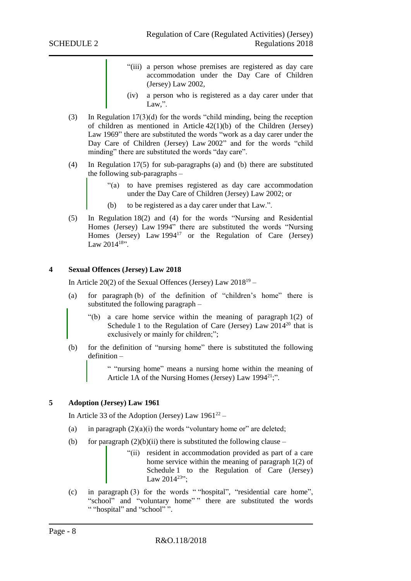- "(iii) a person whose premises are registered as day care accommodation under the Day Care of Children (Jersey) Law 2002,
- (iv) a person who is registered as a day carer under that Law.".
- (3) In Regulation 17(3)(d) for the words "child minding, being the reception of children as mentioned in Article 42(1)(b) of the Children (Jersey) Law 1969" there are substituted the words "work as a day carer under the Day Care of Children (Jersey) Law 2002" and for the words "child minding" there are substituted the words "day care".
- (4) In Regulation 17(5) for sub-paragraphs (a) and (b) there are substituted the following sub-paragraphs –
	- "(a) to have premises registered as day care accommodation under the Day Care of Children (Jersey) Law 2002; or
	- (b) to be registered as a day carer under that Law.".
- (5) In Regulation 18(2) and (4) for the words "Nursing and Residential Homes (Jersey) Law 1994" there are substituted the words "Nursing Homes (Jersey) Law 1994<sup>17</sup> or the Regulation of Care (Jersey) Law  $2014^{18}$

# <span id="page-7-0"></span>**4 Sexual Offences (Jersey) Law 2018**

In Article 20(2) of the Sexual Offences (Jersey) Law  $2018^{19}$  –

- (a) for paragraph (b) of the definition of "children's home" there is substituted the following paragraph –
	- "(b) a care home service within the meaning of paragraph 1(2) of Schedule 1 to the Regulation of Care (Jersey) Law  $2014^{20}$  that is exclusively or mainly for children;";
- (b) for the definition of "nursing home" there is substituted the following definition –

" "nursing home" means a nursing home within the meaning of Article 1A of the Nursing Homes (Jersey) Law 1994<sup>21</sup>;".

#### <span id="page-7-1"></span>**5 Adoption (Jersey) Law 1961**

In Article 33 of the Adoption (Jersey) Law  $1961^{22}$  –

- (a) in paragraph  $(2)(a)(i)$  the words "voluntary home or" are deleted;
- (b) for paragraph  $(2)(b)(ii)$  there is substituted the following clause
	- "(ii) resident in accommodation provided as part of a care home service within the meaning of paragraph 1(2) of Schedule 1 to the Regulation of Care (Jersey) Law  $2014^{23}$ ";
- (c) in paragraph (3) for the words " "hospital", "residential care home", "school" and "voluntary home" " there are substituted the words " "hospital" and "school"".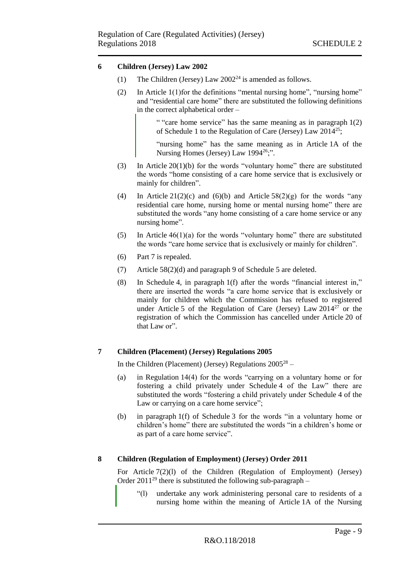# <span id="page-8-0"></span>**6 Children (Jersey) Law 2002**

- (1) The Children (Jersey) Law  $2002^{24}$  is amended as follows.
- (2) In Article 1(1)for the definitions "mental nursing home", "nursing home" and "residential care home" there are substituted the following definitions in the correct alphabetical order –

" "care home service" has the same meaning as in paragraph 1(2) of Schedule 1 to the Regulation of Care (Jersey) Law  $2014^{25}$ ;

"nursing home" has the same meaning as in Article 1A of the Nursing Homes (Jersey) Law  $1994^{26}$ .".

- (3) In Article 20(1)(b) for the words "voluntary home" there are substituted the words "home consisting of a care home service that is exclusively or mainly for children".
- (4) In Article 21(2)(c) and (6)(b) and Article  $58(2)(g)$  for the words "any residential care home, nursing home or mental nursing home" there are substituted the words "any home consisting of a care home service or any nursing home".
- (5) In Article  $46(1)(a)$  for the words "voluntary home" there are substituted the words "care home service that is exclusively or mainly for children".
- (6) Part 7 is repealed.
- (7) Article 58(2)(d) and paragraph 9 of Schedule 5 are deleted.
- (8) In Schedule 4, in paragraph 1(f) after the words "financial interest in," there are inserted the words "a care home service that is exclusively or mainly for children which the Commission has refused to registered under Article 5 of the Regulation of Care (Jersey) Law  $2014^{27}$  or the registration of which the Commission has cancelled under Article 20 of that Law or".

# <span id="page-8-1"></span>**7 Children (Placement) (Jersey) Regulations 2005**

In the Children (Placement) (Jersey) Regulations  $2005^{28}$  –

- (a) in Regulation 14(4) for the words "carrying on a voluntary home or for fostering a child privately under Schedule 4 of the Law" there are substituted the words "fostering a child privately under Schedule 4 of the Law or carrying on a care home service";
- (b) in paragraph 1(f) of Schedule 3 for the words "in a voluntary home or children's home" there are substituted the words "in a children's home or as part of a care home service".

# <span id="page-8-2"></span>**8 Children (Regulation of Employment) (Jersey) Order 2011**

For Article 7(2)(l) of the Children (Regulation of Employment) (Jersey) Order 2011<sup>29</sup> there is substituted the following sub-paragraph –

"(l) undertake any work administering personal care to residents of a nursing home within the meaning of Article 1A of the Nursing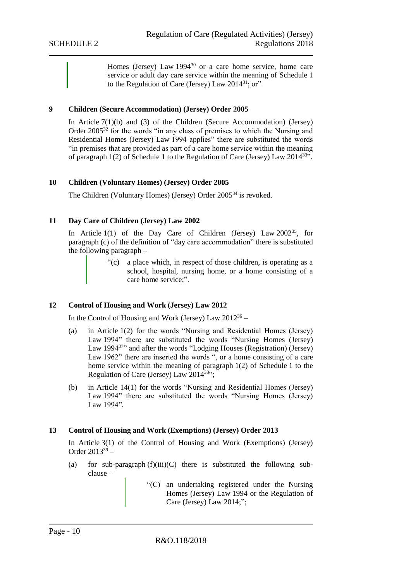Homes (Jersey) Law 1994<sup>30</sup> or a care home service, home care service or adult day care service within the meaning of Schedule 1 to the Regulation of Care (Jersey) Law 2014<sup>31</sup>; or".

# <span id="page-9-0"></span>**9 Children (Secure Accommodation) (Jersey) Order 2005**

In Article 7(1)(b) and (3) of the Children (Secure Accommodation) (Jersey) Order 2005<sup>32</sup> for the words "in any class of premises to which the Nursing and Residential Homes (Jersey) Law 1994 applies" there are substituted the words "in premises that are provided as part of a care home service within the meaning of paragraph  $1(2)$  of Schedule 1 to the Regulation of Care (Jersey) Law  $2014^{33}$ .

#### <span id="page-9-1"></span>**10 Children (Voluntary Homes) (Jersey) Order 2005**

The Children (Voluntary Homes) (Jersey) Order 2005<sup>34</sup> is revoked.

# <span id="page-9-2"></span>**11 Day Care of Children (Jersey) Law 2002**

In Article  $1(1)$  of the Day Care of Children (Jersey) Law  $2002^{35}$ , for paragraph (c) of the definition of "day care accommodation" there is substituted the following paragraph –

> "(c) a place which, in respect of those children, is operating as a school, hospital, nursing home, or a home consisting of a care home service;".

#### <span id="page-9-3"></span>**12 Control of Housing and Work (Jersey) Law 2012**

In the Control of Housing and Work (Jersey) Law  $2012^{36}$  –

- (a) in Article 1(2) for the words "Nursing and Residential Homes (Jersey) Law 1994" there are substituted the words "Nursing Homes (Jersey) Law 1994<sup>37</sup> and after the words "Lodging Houses (Registration) (Jersey) Law 1962" there are inserted the words ", or a home consisting of a care home service within the meaning of paragraph 1(2) of Schedule 1 to the Regulation of Care (Jersey) Law 2014<sup>38</sup>";
- (b) in Article 14(1) for the words "Nursing and Residential Homes (Jersey) Law 1994" there are substituted the words "Nursing Homes (Jersey) Law 1994".

#### <span id="page-9-4"></span>**13 Control of Housing and Work (Exemptions) (Jersey) Order 2013**

In Article 3(1) of the Control of Housing and Work (Exemptions) (Jersey) Order  $2013^{39}$  –

- (a) for sub-paragraph  $(f)(iii)(C)$  there is substituted the following subclause –
	- "(C) an undertaking registered under the Nursing Homes (Jersey) Law 1994 or the Regulation of Care (Jersey) Law 2014;";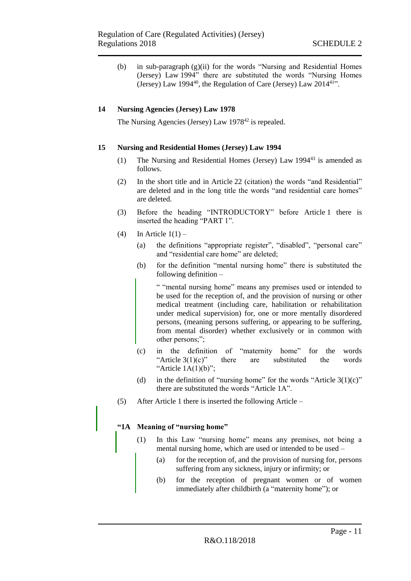(b) in sub-paragraph (g)(ii) for the words "Nursing and Residential Homes (Jersey) Law 1994" there are substituted the words "Nursing Homes (Jersey) Law 1994<sup>40</sup>, the Regulation of Care (Jersey) Law  $2014^{41}$ ".

# <span id="page-10-0"></span>**14 Nursing Agencies (Jersey) Law 1978**

The Nursing Agencies (Jersey) Law 1978<sup>42</sup> is repealed.

# <span id="page-10-1"></span>**15 Nursing and Residential Homes (Jersey) Law 1994**

- (1) The Nursing and Residential Homes (Jersey) Law 1994<sup>43</sup> is amended as follows.
- (2) In the short title and in Article 22 (citation) the words "and Residential" are deleted and in the long title the words "and residential care homes" are deleted.
- (3) Before the heading "INTRODUCTORY" before Article 1 there is inserted the heading "PART 1".
- (4) In Article  $1(1)$ 
	- (a) the definitions "appropriate register", "disabled", "personal care" and "residential care home" are deleted;
	- (b) for the definition "mental nursing home" there is substituted the following definition –

" "mental nursing home" means any premises used or intended to be used for the reception of, and the provision of nursing or other medical treatment (including care, habilitation or rehabilitation under medical supervision) for, one or more mentally disordered persons, (meaning persons suffering, or appearing to be suffering, from mental disorder) whether exclusively or in common with other persons;";

- (c) in the definition of "maternity home" for the words "Article  $3(1)(c)$ " there are substituted the words "Article  $1A(1)(b)$ ";
- (d) in the definition of "nursing home" for the words "Article  $3(1)(c)$ " there are substituted the words "Article 1A".
- (5) After Article 1 there is inserted the following Article –

# **"1A Meaning of "nursing home"**

- (1) In this Law "nursing home" means any premises, not being a mental nursing home, which are used or intended to be used –
	- (a) for the reception of, and the provision of nursing for, persons suffering from any sickness, injury or infirmity; or
	- (b) for the reception of pregnant women or of women immediately after childbirth (a "maternity home"); or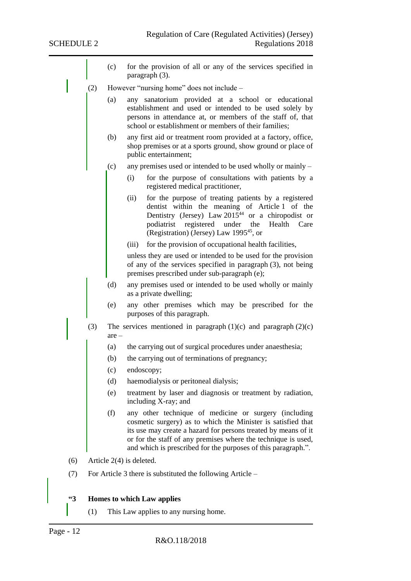- (c) for the provision of all or any of the services specified in paragraph (3). (2) However "nursing home" does not include – (a) any sanatorium provided at a school or educational establishment and used or intended to be used solely by persons in attendance at, or members of the staff of, that school or establishment or members of their families; (b) any first aid or treatment room provided at a factory, office, shop premises or at a sports ground, show ground or place of public entertainment; (c) any premises used or intended to be used wholly or mainly – (i) for the purpose of consultations with patients by a registered medical practitioner, (ii) for the purpose of treating patients by a registered dentist within the meaning of Article 1 of the Dentistry (Jersey) Law  $2015^{44}$  or a chiropodist or podiatrist registered under the Health Care (Registration) (Jersey) Law 1995<sup>45</sup>, or (iii) for the provision of occupational health facilities, unless they are used or intended to be used for the provision of any of the services specified in paragraph (3), not being premises prescribed under sub-paragraph (e); (d) any premises used or intended to be used wholly or mainly as a private dwelling; (e) any other premises which may be prescribed for the purposes of this paragraph. (3) The services mentioned in paragraph  $(1)(c)$  and paragraph  $(2)(c)$ are – (a) the carrying out of surgical procedures under anaesthesia; (b) the carrying out of terminations of pregnancy; (c) endoscopy; (d) haemodialysis or peritoneal dialysis; (e) treatment by laser and diagnosis or treatment by radiation, including X-ray; and (f) any other technique of medicine or surgery (including cosmetic surgery) as to which the Minister is satisfied that its use may create a hazard for persons treated by means of it or for the staff of any premises where the technique is used, and which is prescribed for the purposes of this paragraph.". (6) Article 2(4) is deleted. (7) For Article 3 there is substituted the following Article – **"3 Homes to which Law applies**
	- (1) This Law applies to any nursing home.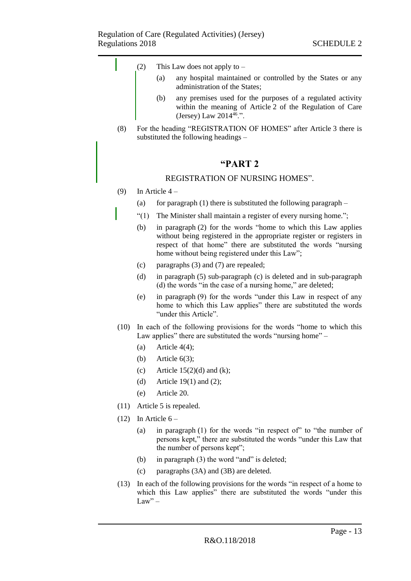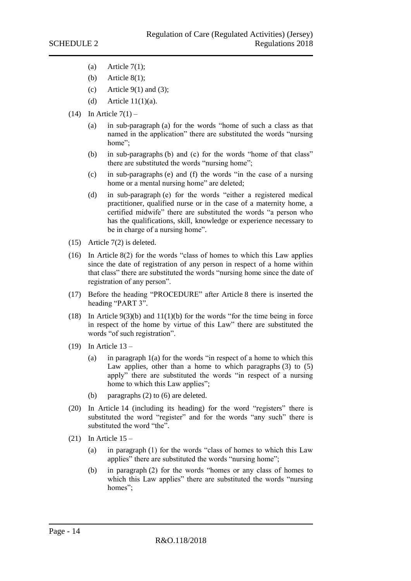- (a) Article  $7(1)$ ;
- (b) Article  $8(1)$ ;
- (c) Article  $9(1)$  and (3);
- (d) Article  $11(1)(a)$ .
- $(14)$  In Article  $7(1)$ 
	- (a) in sub-paragraph (a) for the words "home of such a class as that named in the application" there are substituted the words "nursing home":
	- (b) in sub-paragraphs (b) and (c) for the words "home of that class" there are substituted the words "nursing home";
	- (c) in sub-paragraphs (e) and (f) the words "in the case of a nursing home or a mental nursing home" are deleted;
	- (d) in sub-paragraph (e) for the words "either a registered medical practitioner, qualified nurse or in the case of a maternity home, a certified midwife" there are substituted the words "a person who has the qualifications, skill, knowledge or experience necessary to be in charge of a nursing home".
- (15) Article 7(2) is deleted.
- (16) In Article 8(2) for the words "class of homes to which this Law applies since the date of registration of any person in respect of a home within that class" there are substituted the words "nursing home since the date of registration of any person".
- (17) Before the heading "PROCEDURE" after Article 8 there is inserted the heading "PART 3".
- (18) In Article 9(3)(b) and 11(1)(b) for the words "for the time being in force in respect of the home by virtue of this Law" there are substituted the words "of such registration".
- (19) In Article 13
	- (a) in paragraph  $1(a)$  for the words "in respect of a home to which this Law applies, other than a home to which paragraphs  $(3)$  to  $(5)$ apply" there are substituted the words "in respect of a nursing home to which this Law applies";
	- (b) paragraphs (2) to (6) are deleted.
- (20) In Article 14 (including its heading) for the word "registers" there is substituted the word "register" and for the words "any such" there is substituted the word "the".
- $(21)$  In Article  $15 -$ 
	- (a) in paragraph (1) for the words "class of homes to which this Law applies" there are substituted the words "nursing home";
	- (b) in paragraph (2) for the words "homes or any class of homes to which this Law applies" there are substituted the words "nursing homes";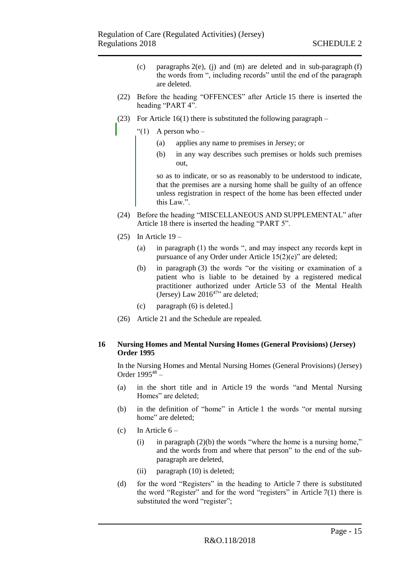- (c) paragraphs  $2(e)$ , (j) and (m) are deleted and in sub-paragraph  $(f)$ the words from ", including records" until the end of the paragraph are deleted.
- (22) Before the heading "OFFENCES" after Article 15 there is inserted the heading "PART 4".
- (23) For Article  $16(1)$  there is substituted the following paragraph
	- "(1) A person who  $-$ 
		- (a) applies any name to premises in Jersey; or
		- (b) in any way describes such premises or holds such premises out,

so as to indicate, or so as reasonably to be understood to indicate, that the premises are a nursing home shall be guilty of an offence unless registration in respect of the home has been effected under this Law.".

- (24) Before the heading "MISCELLANEOUS AND SUPPLEMENTAL" after Article 18 there is inserted the heading "PART 5".
- $(25)$  In Article  $19 -$ 
	- (a) in paragraph (1) the words ", and may inspect any records kept in pursuance of any Order under Article 15(2)(e)" are deleted;
	- (b) in paragraph (3) the words "or the visiting or examination of a patient who is liable to be detained by a registered medical practitioner authorized under Article 53 of the Mental Health (Jersey) Law  $2016^{47}$ " are deleted;
	- (c) paragraph (6) is deleted.]
- (26) Article 21 and the Schedule are repealed.

#### <span id="page-14-0"></span>**16 Nursing Homes and Mental Nursing Homes (General Provisions) (Jersey) Order 1995**

In the Nursing Homes and Mental Nursing Homes (General Provisions) (Jersey) Order 1995<sup>48</sup> –

- (a) in the short title and in Article 19 the words "and Mental Nursing Homes" are deleted;
- (b) in the definition of "home" in Article 1 the words "or mental nursing home" are deleted;
- (c) In Article  $6 -$ 
	- (i) in paragraph  $(2)(b)$  the words "where the home is a nursing home," and the words from and where that person" to the end of the subparagraph are deleted,
	- (ii) paragraph (10) is deleted;
- (d) for the word "Registers" in the heading to Article 7 there is substituted the word "Register" and for the word "registers" in Article 7(1) there is substituted the word "register";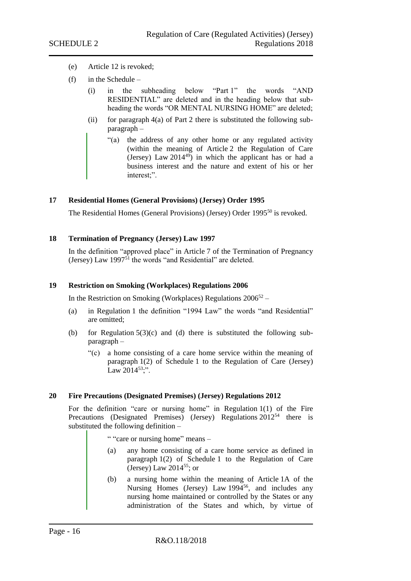- (e) Article 12 is revoked;
- $(f)$  in the Schedule
	- (i) in the subheading below "Part 1" the words "AND RESIDENTIAL" are deleted and in the heading below that subheading the words "OR MENTAL NURSING HOME" are deleted;
	- (ii) for paragraph  $4(a)$  of Part 2 there is substituted the following subparagraph –
		- "(a) the address of any other home or any regulated activity (within the meaning of Article 2 the Regulation of Care (Jersey) Law  $2014^{49}$ ) in which the applicant has or had a business interest and the nature and extent of his or her interest;".

#### <span id="page-15-0"></span>**17 Residential Homes (General Provisions) (Jersey) Order 1995**

The Residential Homes (General Provisions) (Jersey) Order 1995<sup>50</sup> is revoked.

#### <span id="page-15-1"></span>**18 Termination of Pregnancy (Jersey) Law 1997**

In the definition "approved place" in Article 7 of the Termination of Pregnancy (Jersey) Law 1997<sup>51</sup> the words "and Residential" are deleted.

#### <span id="page-15-2"></span>**19 Restriction on Smoking (Workplaces) Regulations 2006**

In the Restriction on Smoking (Workplaces) Regulations  $2006^{52}$  –

- (a) in Regulation 1 the definition "1994 Law" the words "and Residential" are omitted;
- (b) for Regulation  $5(3)(c)$  and (d) there is substituted the following subparagraph –
	- "(c) a home consisting of a care home service within the meaning of paragraph 1(2) of Schedule 1 to the Regulation of Care (Jersey) Law  $2014^{53}$ ;".

#### <span id="page-15-3"></span>**20 Fire Precautions (Designated Premises) (Jersey) Regulations 2012**

For the definition "care or nursing home" in Regulation 1(1) of the Fire Precautions (Designated Premises) (Jersey) Regulations 2012<sup>54</sup> there is substituted the following definition –

" "care or nursing home" means –

- (a) any home consisting of a care home service as defined in paragraph 1(2) of Schedule 1 to the Regulation of Care (Jersey) Law  $2014^{55}$ ; or
- (b) a nursing home within the meaning of Article 1A of the Nursing Homes (Jersey) Law  $1994^{56}$ , and includes any nursing home maintained or controlled by the States or any administration of the States and which, by virtue of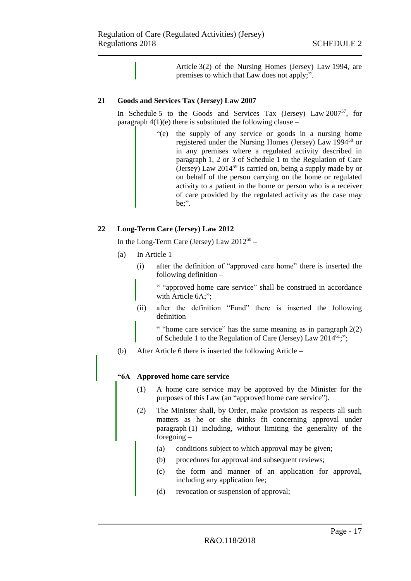Article 3(2) of the Nursing Homes (Jersey) Law 1994, are premises to which that Law does not apply;".

# <span id="page-16-0"></span>**21 Goods and Services Tax (Jersey) Law 2007**

In Schedule 5 to the Goods and Services Tax (Jersey) Law 2007<sup>57</sup>, for paragraph  $4(1)(e)$  there is substituted the following clause –

> "(e) the supply of any service or goods in a nursing home registered under the Nursing Homes (Jersey) Law 1994<sup>58</sup> or in any premises where a regulated activity described in paragraph 1, 2 or 3 of Schedule 1 to the Regulation of Care (Jersey) Law  $2014^{59}$  is carried on, being a supply made by or on behalf of the person carrying on the home or regulated activity to a patient in the home or person who is a receiver of care provided by the regulated activity as the case may be;".

# <span id="page-16-1"></span>**22 Long-Term Care (Jersey) Law 2012**

In the Long-Term Care (Jersey) Law  $2012^{60}$  –

- (a) In Article  $1 -$ 
	- (i) after the definition of "approved care home" there is inserted the following definition –

" "approved home care service" shall be construed in accordance with Article 6A;";

(ii) after the definition "Fund" there is inserted the following definition –

" "home care service" has the same meaning as in paragraph  $2(2)$ of Schedule 1 to the Regulation of Care (Jersey) Law  $2014^{61}$ ;";

(b) After Article 6 there is inserted the following Article –

# **"6A Approved home care service**

- (1) A home care service may be approved by the Minister for the purposes of this Law (an "approved home care service").
- (2) The Minister shall, by Order, make provision as respects all such matters as he or she thinks fit concerning approval under paragraph (1) including, without limiting the generality of the foregoing –
	- (a) conditions subject to which approval may be given;
	- (b) procedures for approval and subsequent reviews;
	- (c) the form and manner of an application for approval, including any application fee;
	- (d) revocation or suspension of approval;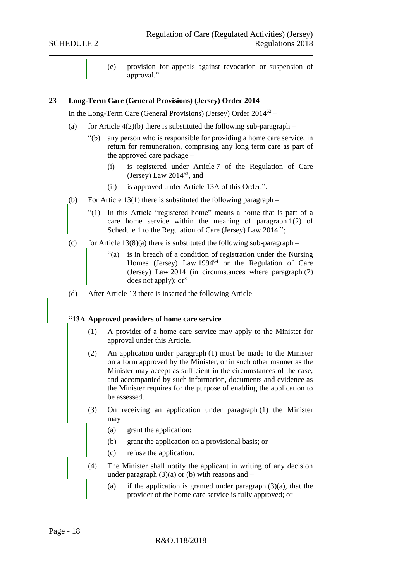(e) provision for appeals against revocation or suspension of approval.".

#### <span id="page-17-0"></span>**23 Long-Term Care (General Provisions) (Jersey) Order 2014**

In the Long-Term Care (General Provisions) (Jersey) Order 2014<sup>62</sup> –

- (a) for Article  $4(2)(b)$  there is substituted the following sub-paragraph
	- "(b) any person who is responsible for providing a home care service, in return for remuneration, comprising any long term care as part of the approved care package –
		- (i) is registered under Article 7 of the Regulation of Care (Jersey) Law  $2014^{63}$ , and
		- (ii) is approved under Article 13A of this Order.".
- (b) For Article 13(1) there is substituted the following paragraph  $-$ 
	- "(1) In this Article "registered home" means a home that is part of a care home service within the meaning of paragraph 1(2) of Schedule 1 to the Regulation of Care (Jersey) Law 2014.";
- (c) for Article  $13(8)(a)$  there is substituted the following sub-paragraph
	- "(a) is in breach of a condition of registration under the Nursing Homes (Jersey) Law  $1994^{64}$  or the Regulation of Care (Jersey) Law 2014 (in circumstances where paragraph (7) does not apply); or"
- (d) After Article 13 there is inserted the following Article –

# **"13A Approved providers of home care service**

- (1) A provider of a home care service may apply to the Minister for approval under this Article.
- (2) An application under paragraph (1) must be made to the Minister on a form approved by the Minister, or in such other manner as the Minister may accept as sufficient in the circumstances of the case, and accompanied by such information, documents and evidence as the Minister requires for the purpose of enabling the application to be assessed.
- (3) On receiving an application under paragraph (1) the Minister  $may -$ 
	- (a) grant the application;
	- (b) grant the application on a provisional basis; or
	- (c) refuse the application.
- (4) The Minister shall notify the applicant in writing of any decision under paragraph  $(3)(a)$  or (b) with reasons and  $-$ 
	- (a) if the application is granted under paragraph  $(3)(a)$ , that the provider of the home care service is fully approved; or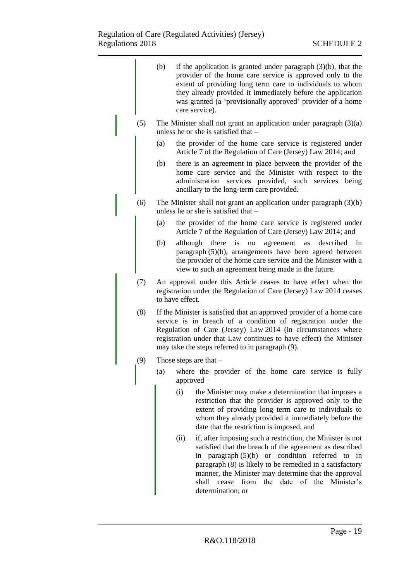| provider of the home care service is approved only to the<br>extent of providing long term care to individuals to whom<br>they already provided it immediately before the application<br>was granted (a 'provisionally approved' provider of a home<br>care service).<br>The Minister shall not grant an application under paragraph $(3)(a)$<br>(5)<br>unless he or she is satisfied that -<br>the provider of the home care service is registered under<br>(a)<br>Article 7 of the Regulation of Care (Jersey) Law 2014; and<br>there is an agreement in place between the provider of the<br>(b)<br>home care service and the Minister with respect to the<br>administration services provided, such services being<br>ancillary to the long-term care provided.<br>(6)<br>The Minister shall not grant an application under paragraph $(3)(b)$<br>unless he or she is satisfied that -<br>the provider of the home care service is registered under<br>(a)<br>Article 7 of the Regulation of Care (Jersey) Law 2014; and<br>(b)<br>there<br>described<br>although<br>is<br>agreement<br>in<br>no<br>as<br>paragraph (5)(b), arrangements have been agreed between<br>the provider of the home care service and the Minister with a<br>view to such an agreement being made in the future.<br>(7)<br>An approval under this Article ceases to have effect when the<br>registration under the Regulation of Care (Jersey) Law 2014 ceases<br>to have effect.<br>(8)<br>If the Minister is satisfied that an approved provider of a home care<br>service is in breach of a condition of registration under the<br>Regulation of Care (Jersey) Law 2014 (in circumstances where<br>registration under that Law continues to have effect) the Minister<br>may take the steps referred to in paragraph (9).<br>(9)<br>Those steps are that $-$<br>(a)<br>where the provider of the home care service is fully<br>$approved -$<br>the Minister may make a determination that imposes a<br>(i)<br>restriction that the provider is approved only to the<br>extent of providing long term care to individuals to<br>whom they already provided it immediately before the<br>date that the restriction is imposed, and<br>if, after imposing such a restriction, the Minister is not<br>(ii)<br>satisfied that the breach of the agreement as described<br>in paragraph $(5)(b)$ or condition referred to in<br>paragraph (8) is likely to be remedied in a satisfactory<br>manner, the Minister may determine that the approval<br>from<br>the date<br>of the Minister's<br>cease<br>shall<br>determination; or |  | (b) | if the application is granted under paragraph $(3)(b)$ , that the |
|------------------------------------------------------------------------------------------------------------------------------------------------------------------------------------------------------------------------------------------------------------------------------------------------------------------------------------------------------------------------------------------------------------------------------------------------------------------------------------------------------------------------------------------------------------------------------------------------------------------------------------------------------------------------------------------------------------------------------------------------------------------------------------------------------------------------------------------------------------------------------------------------------------------------------------------------------------------------------------------------------------------------------------------------------------------------------------------------------------------------------------------------------------------------------------------------------------------------------------------------------------------------------------------------------------------------------------------------------------------------------------------------------------------------------------------------------------------------------------------------------------------------------------------------------------------------------------------------------------------------------------------------------------------------------------------------------------------------------------------------------------------------------------------------------------------------------------------------------------------------------------------------------------------------------------------------------------------------------------------------------------------------------------------------------------------------------------------------------------------------------------------------------------------------------------------------------------------------------------------------------------------------------------------------------------------------------------------------------------------------------------------------------------------------------------------------------------------------------------------------------------------------------------------------------------------------------------------------------------|--|-----|-------------------------------------------------------------------|
|                                                                                                                                                                                                                                                                                                                                                                                                                                                                                                                                                                                                                                                                                                                                                                                                                                                                                                                                                                                                                                                                                                                                                                                                                                                                                                                                                                                                                                                                                                                                                                                                                                                                                                                                                                                                                                                                                                                                                                                                                                                                                                                                                                                                                                                                                                                                                                                                                                                                                                                                                                                                            |  |     |                                                                   |
|                                                                                                                                                                                                                                                                                                                                                                                                                                                                                                                                                                                                                                                                                                                                                                                                                                                                                                                                                                                                                                                                                                                                                                                                                                                                                                                                                                                                                                                                                                                                                                                                                                                                                                                                                                                                                                                                                                                                                                                                                                                                                                                                                                                                                                                                                                                                                                                                                                                                                                                                                                                                            |  |     |                                                                   |
|                                                                                                                                                                                                                                                                                                                                                                                                                                                                                                                                                                                                                                                                                                                                                                                                                                                                                                                                                                                                                                                                                                                                                                                                                                                                                                                                                                                                                                                                                                                                                                                                                                                                                                                                                                                                                                                                                                                                                                                                                                                                                                                                                                                                                                                                                                                                                                                                                                                                                                                                                                                                            |  |     |                                                                   |
|                                                                                                                                                                                                                                                                                                                                                                                                                                                                                                                                                                                                                                                                                                                                                                                                                                                                                                                                                                                                                                                                                                                                                                                                                                                                                                                                                                                                                                                                                                                                                                                                                                                                                                                                                                                                                                                                                                                                                                                                                                                                                                                                                                                                                                                                                                                                                                                                                                                                                                                                                                                                            |  |     |                                                                   |
|                                                                                                                                                                                                                                                                                                                                                                                                                                                                                                                                                                                                                                                                                                                                                                                                                                                                                                                                                                                                                                                                                                                                                                                                                                                                                                                                                                                                                                                                                                                                                                                                                                                                                                                                                                                                                                                                                                                                                                                                                                                                                                                                                                                                                                                                                                                                                                                                                                                                                                                                                                                                            |  |     |                                                                   |
|                                                                                                                                                                                                                                                                                                                                                                                                                                                                                                                                                                                                                                                                                                                                                                                                                                                                                                                                                                                                                                                                                                                                                                                                                                                                                                                                                                                                                                                                                                                                                                                                                                                                                                                                                                                                                                                                                                                                                                                                                                                                                                                                                                                                                                                                                                                                                                                                                                                                                                                                                                                                            |  |     |                                                                   |
|                                                                                                                                                                                                                                                                                                                                                                                                                                                                                                                                                                                                                                                                                                                                                                                                                                                                                                                                                                                                                                                                                                                                                                                                                                                                                                                                                                                                                                                                                                                                                                                                                                                                                                                                                                                                                                                                                                                                                                                                                                                                                                                                                                                                                                                                                                                                                                                                                                                                                                                                                                                                            |  |     |                                                                   |
|                                                                                                                                                                                                                                                                                                                                                                                                                                                                                                                                                                                                                                                                                                                                                                                                                                                                                                                                                                                                                                                                                                                                                                                                                                                                                                                                                                                                                                                                                                                                                                                                                                                                                                                                                                                                                                                                                                                                                                                                                                                                                                                                                                                                                                                                                                                                                                                                                                                                                                                                                                                                            |  |     |                                                                   |
|                                                                                                                                                                                                                                                                                                                                                                                                                                                                                                                                                                                                                                                                                                                                                                                                                                                                                                                                                                                                                                                                                                                                                                                                                                                                                                                                                                                                                                                                                                                                                                                                                                                                                                                                                                                                                                                                                                                                                                                                                                                                                                                                                                                                                                                                                                                                                                                                                                                                                                                                                                                                            |  |     |                                                                   |
|                                                                                                                                                                                                                                                                                                                                                                                                                                                                                                                                                                                                                                                                                                                                                                                                                                                                                                                                                                                                                                                                                                                                                                                                                                                                                                                                                                                                                                                                                                                                                                                                                                                                                                                                                                                                                                                                                                                                                                                                                                                                                                                                                                                                                                                                                                                                                                                                                                                                                                                                                                                                            |  |     |                                                                   |
|                                                                                                                                                                                                                                                                                                                                                                                                                                                                                                                                                                                                                                                                                                                                                                                                                                                                                                                                                                                                                                                                                                                                                                                                                                                                                                                                                                                                                                                                                                                                                                                                                                                                                                                                                                                                                                                                                                                                                                                                                                                                                                                                                                                                                                                                                                                                                                                                                                                                                                                                                                                                            |  |     |                                                                   |
|                                                                                                                                                                                                                                                                                                                                                                                                                                                                                                                                                                                                                                                                                                                                                                                                                                                                                                                                                                                                                                                                                                                                                                                                                                                                                                                                                                                                                                                                                                                                                                                                                                                                                                                                                                                                                                                                                                                                                                                                                                                                                                                                                                                                                                                                                                                                                                                                                                                                                                                                                                                                            |  |     |                                                                   |
|                                                                                                                                                                                                                                                                                                                                                                                                                                                                                                                                                                                                                                                                                                                                                                                                                                                                                                                                                                                                                                                                                                                                                                                                                                                                                                                                                                                                                                                                                                                                                                                                                                                                                                                                                                                                                                                                                                                                                                                                                                                                                                                                                                                                                                                                                                                                                                                                                                                                                                                                                                                                            |  |     |                                                                   |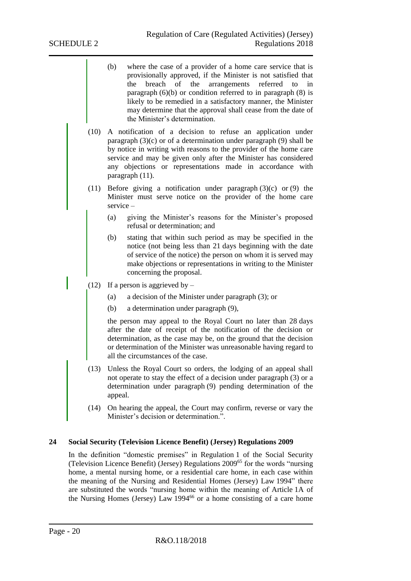- (b) where the case of a provider of a home care service that is provisionally approved, if the Minister is not satisfied that the breach of the arrangements referred to in paragraph  $(6)(b)$  or condition referred to in paragraph  $(8)$  is likely to be remedied in a satisfactory manner, the Minister may determine that the approval shall cease from the date of the Minister's determination.
- (10) A notification of a decision to refuse an application under paragraph (3)(c) or of a determination under paragraph (9) shall be by notice in writing with reasons to the provider of the home care service and may be given only after the Minister has considered any objections or representations made in accordance with paragraph (11).
- (11) Before giving a notification under paragraph (3)(c) or (9) the Minister must serve notice on the provider of the home care service –
	- (a) giving the Minister's reasons for the Minister's proposed refusal or determination; and
	- (b) stating that within such period as may be specified in the notice (not being less than 21 days beginning with the date of service of the notice) the person on whom it is served may make objections or representations in writing to the Minister concerning the proposal.
- (12) If a person is aggrieved by  $-$ 
	- (a) a decision of the Minister under paragraph (3); or
	- (b) a determination under paragraph (9),

the person may appeal to the Royal Court no later than 28 days after the date of receipt of the notification of the decision or determination, as the case may be, on the ground that the decision or determination of the Minister was unreasonable having regard to all the circumstances of the case.

- (13) Unless the Royal Court so orders, the lodging of an appeal shall not operate to stay the effect of a decision under paragraph (3) or a determination under paragraph (9) pending determination of the appeal.
- (14) On hearing the appeal, the Court may confirm, reverse or vary the Minister's decision or determination.".

#### <span id="page-19-0"></span>**24 Social Security (Television Licence Benefit) (Jersey) Regulations 2009**

In the definition "domestic premises" in Regulation 1 of the Social Security (Television Licence Benefit) (Jersey) Regulations 2009<sup>65</sup> for the words "nursing home, a mental nursing home, or a residential care home, in each case within the meaning of the Nursing and Residential Homes (Jersey) Law 1994" there are substituted the words "nursing home within the meaning of Article 1A of the Nursing Homes (Jersey) Law 1994<sup>66</sup> or a home consisting of a care home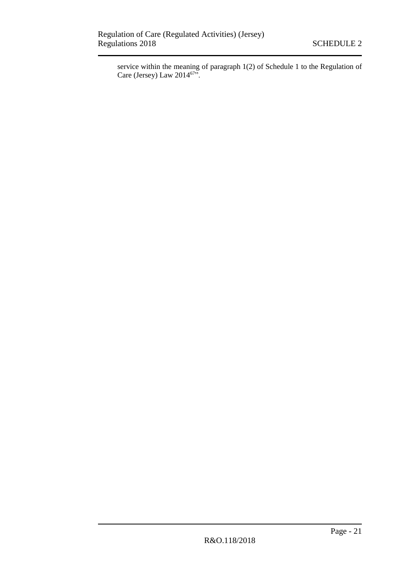service within the meaning of paragraph 1(2) of Schedule 1 to the Regulation of Care (Jersey) Law  $2014^{67}$ ".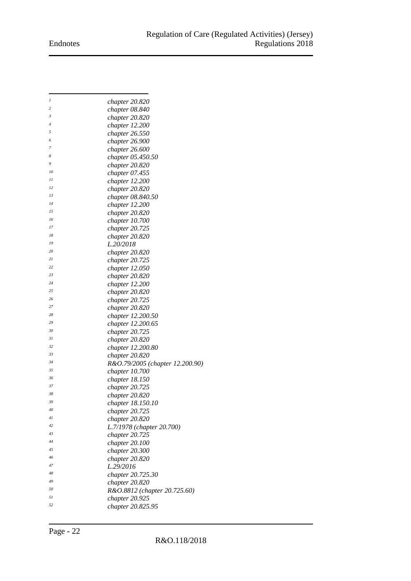# Endnotes

| 1  | chapter 20.820                  |
|----|---------------------------------|
| 2  | chapter 08.840                  |
| 3  | chapter 20.820                  |
| 4  | chapter 12.200                  |
| 5  | chapter 26.550                  |
| 6  | chapter 26.900                  |
| 7  | chapter 26.600                  |
| 8  | chapter 05.450.50               |
| 9  | chapter 20.820                  |
| 10 | chapter $07.455$                |
| 11 |                                 |
| 12 | chapter 12.200                  |
| 13 | chapter 20.820                  |
|    | chapter 08.840.50               |
| 14 | chapter 12.200                  |
| 15 | chapter 20.820                  |
| 16 | chapter 10.700                  |
| 17 | chapter 20.725                  |
| 18 | chapter 20.820                  |
| 19 | L.20/2018                       |
| 20 | chapter 20.820                  |
| 21 | chapter 20.725                  |
| 22 | chapter 12.050                  |
| 23 | chapter 20.820                  |
| 24 | chapter 12.200                  |
| 25 | chapter 20.820                  |
| 26 | chapter 20.725                  |
| 27 | chapter 20.820                  |
| 28 | chapter 12.200.50               |
| 29 | chapter 12.200.65               |
| 30 | chapter 20.725                  |
| 31 | chapter 20.820                  |
| 32 |                                 |
| 33 | chapter 12.200.80               |
| 34 | chapter 20.820                  |
| 35 | R&O.79/2005 (chapter 12.200.90) |
| 36 | chapter 10.700                  |
|    | chapter 18.150                  |
| 37 | chapter 20.725                  |
| 38 | chapter 20.820                  |
| 39 | chapter 18.150.10               |
| 40 | chapter 20.725                  |
| 41 | chapter 20.820                  |
| 42 | L.7/1978 (chapter 20.700)       |
| 43 | chapter 20.725                  |
| 44 | chapper 20.100                  |
| 45 | chapter 20.300                  |
| 46 | chapter 20.820                  |
| 47 | L.29/2016                       |
| 48 | chapter 20.725.30               |
| 49 | chapter 20.820                  |
| 50 | R&O.8812 (chapter 20.725.60)    |
| 51 | chapter 20.925                  |
| 52 | chapter 20.825.95               |
|    |                                 |